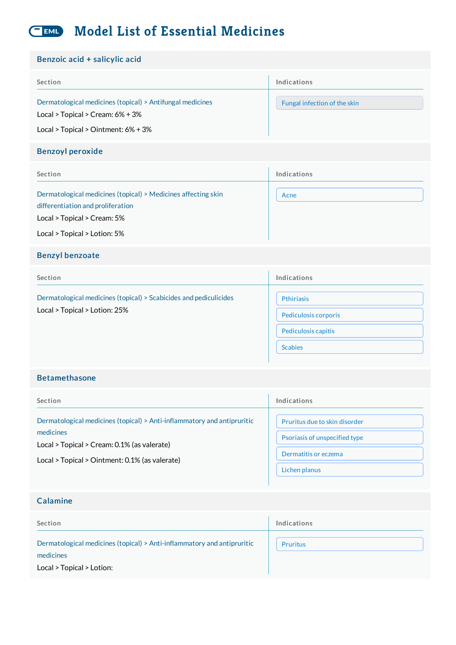#### **Model List of Essential Medicines** EML

| Benzoic acid + salicylic acid                                                                                                                                     |                                                                                    |
|-------------------------------------------------------------------------------------------------------------------------------------------------------------------|------------------------------------------------------------------------------------|
| Section                                                                                                                                                           | Indications                                                                        |
| Dermatological medicines (topical) > Antifungal medicines<br>Local > Topical > Cream: 6% + 3%<br>Local > Topical > Ointment: 6% + 3%                              | Fungal infection of the skin                                                       |
| <b>Benzoyl peroxide</b>                                                                                                                                           |                                                                                    |
| Section                                                                                                                                                           | Indications                                                                        |
| Dermatological medicines (topical) > Medicines affecting skin<br>differentiation and proliferation<br>Local > Topical > Cream: 5%<br>Local > Topical > Lotion: 5% | Acne                                                                               |
| <b>Benzyl benzoate</b>                                                                                                                                            |                                                                                    |
| Section                                                                                                                                                           | Indications                                                                        |
| Dermatological medicines (topical) > Scabicides and pediculicides<br>Local > Topical > Lotion: 25%                                                                | <b>Pthiriasis</b><br>Pediculosis corporis<br>Pediculosis capitis<br><b>Scabies</b> |
| <b>Betamethasone</b>                                                                                                                                              |                                                                                    |

| Section                                                                                                                                                                               | Indications                                                    |
|---------------------------------------------------------------------------------------------------------------------------------------------------------------------------------------|----------------------------------------------------------------|
| Dermatological medicines (topical) > Anti-inflammatory and antipruritic<br>medicines<br>Local > Topical > Cream: 0.1% (as valerate)<br>Local > Topical > Ointment: 0.1% (as valerate) | Pruritus due to skin disorder<br>Psoriasis of unspecified type |
|                                                                                                                                                                                       | Dermatitis or eczema                                           |
|                                                                                                                                                                                       | Lichen planus                                                  |

| Calamine                                                                             |             |
|--------------------------------------------------------------------------------------|-------------|
| Section                                                                              | Indications |
| Dermatological medicines (topical) > Anti-inflammatory and antipruritic<br>medicines | Pruritus    |
| Local > Topical > Lotion:                                                            |             |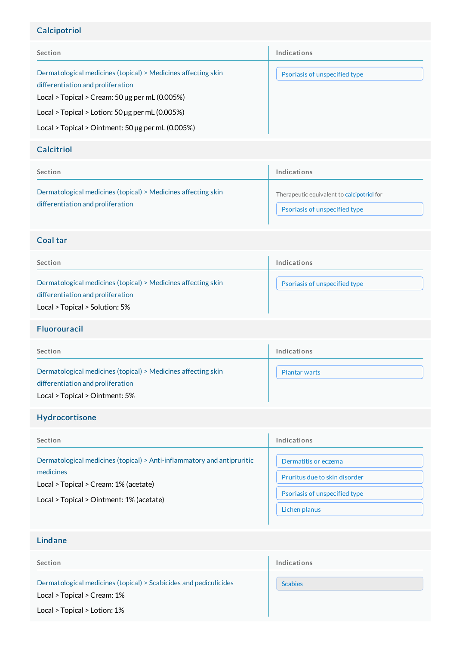## Calcipotriol

| Section                                                                                                                                                                                                              | Indications                   |
|----------------------------------------------------------------------------------------------------------------------------------------------------------------------------------------------------------------------|-------------------------------|
| Dermatological medicines (topical) > Medicines affecting skin<br>differentiation and proliferation<br>Local > Topical > Cream: $50 \mu$ g per mL $(0.005\%)$<br>Local > Topical > Lotion: $50 \mu g$ per mL (0.005%) | Psoriasis of unspecified type |
| Local > Topical > Ointment: 50 $\mu$ g per mL (0.005%)                                                                                                                                                               |                               |

#### **Calcitriol**

| Section                                                                                            | Indications                                |
|----------------------------------------------------------------------------------------------------|--------------------------------------------|
| Dermatological medicines (topical) > Medicines affecting skin<br>differentiation and proliferation | Therapeutic equivalent to calcipotriol for |
|                                                                                                    | Psoriasis of unspecified type              |

## Coal tar

| Section                                                                                                                              | Indications                   |
|--------------------------------------------------------------------------------------------------------------------------------------|-------------------------------|
| Dermatological medicines (topical) > Medicines affecting skin<br>differentiation and proliferation<br>Local > Topical > Solution: 5% | Psoriasis of unspecified type |

#### Fluorouracil

| Section                                                                                                                              | Indications          |
|--------------------------------------------------------------------------------------------------------------------------------------|----------------------|
| Dermatological medicines (topical) > Medicines affecting skin<br>differentiation and proliferation<br>Local > Topical > Ointment: 5% | <b>Plantar warts</b> |

## Hydrocortisone

| Section                                                                 | Indications                   |
|-------------------------------------------------------------------------|-------------------------------|
| Dermatological medicines (topical) > Anti-inflammatory and antipruritic | Dermatitis or eczema          |
| medicines                                                               | Pruritus due to skin disorder |
| Local > Topical > Cream: 1% (acetate)                                   | Psoriasis of unspecified type |
| Local > Topical > Ointment: 1% (acetate)                                | Lichen planus                 |

## Lindane

| Section                                                                                          | Indications    |
|--------------------------------------------------------------------------------------------------|----------------|
| Dermatological medicines (topical) > Scabicides and pediculicides<br>Local > Topical > Cream: 1% | <b>Scabies</b> |
| Local > Topical > Lotion: 1%                                                                     |                |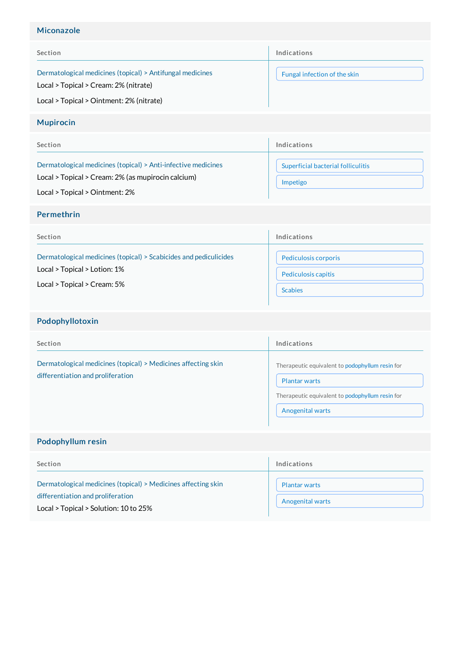## Miconazole

| Section                                                                                            | Indications                  |
|----------------------------------------------------------------------------------------------------|------------------------------|
| Dermatological medicines (topical) > Antifungal medicines<br>Local > Topical > Cream: 2% (nitrate) | Fungal infection of the skin |
| Local > Topical > Ointment: 2% (nitrate)                                                           |                              |

### Mupirocin

| Section                                                                                                             | Indications                                    |
|---------------------------------------------------------------------------------------------------------------------|------------------------------------------------|
| Dermatological medicines (topical) > Anti-infective medicines<br>Local > Topical > Cream: 2% (as mupirocin calcium) | Superficial bacterial folliculitis<br>Impetigo |
| Local > Topical > Ointment: 2%                                                                                      |                                                |

#### Permethrin

| Section                                                           | Indications          |
|-------------------------------------------------------------------|----------------------|
| Dermatological medicines (topical) > Scabicides and pediculicides | Pediculosis corporis |
| Local > Topical > Lotion: 1%                                      | Pediculosis capitis  |
| Local > Topical > Cream: 5%                                       | <b>Scabies</b>       |

# Podophyllotoxin

| Section                                                                                            | Indications                                                                                                                                           |
|----------------------------------------------------------------------------------------------------|-------------------------------------------------------------------------------------------------------------------------------------------------------|
| Dermatological medicines (topical) > Medicines affecting skin<br>differentiation and proliferation | Therapeutic equivalent to podophyllum resin for<br><b>Plantar warts</b><br>Therapeutic equivalent to podophyllum resin for<br><b>Anogenital warts</b> |

# Podophyllum resin

| Section                                                                                                                                     | Indications                                     |
|---------------------------------------------------------------------------------------------------------------------------------------------|-------------------------------------------------|
| Dermatological medicines (topical) > Medicines affecting skin<br>differentiation and proliferation<br>Local > Topical > Solution: 10 to 25% | <b>Plantar warts</b><br><b>Anogenital warts</b> |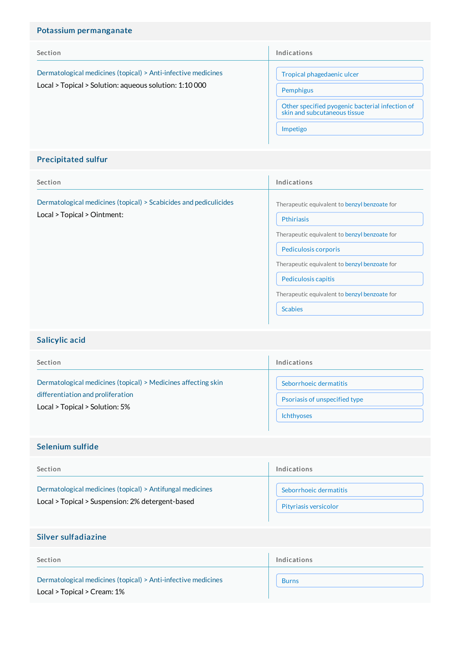| Potassium permanganate                                                                                                  |                                                                                 |
|-------------------------------------------------------------------------------------------------------------------------|---------------------------------------------------------------------------------|
| Section                                                                                                                 | Indications                                                                     |
| Dermatological medicines (topical) > Anti-infective medicines<br>Local > Topical > Solution: aqueous solution: 1:10 000 | Tropical phagedaenic ulcer                                                      |
|                                                                                                                         | Pemphigus                                                                       |
|                                                                                                                         | Other specified pyogenic bacterial infection of<br>skin and subcutaneous tissue |
|                                                                                                                         | Impetigo                                                                        |
|                                                                                                                         |                                                                                 |

# Precipitated sulfur

| Section                                                                                          | Indications                                                                                                                                                                                                                                                                     |
|--------------------------------------------------------------------------------------------------|---------------------------------------------------------------------------------------------------------------------------------------------------------------------------------------------------------------------------------------------------------------------------------|
| Dermatological medicines (topical) > Scabicides and pediculicides<br>Local > Topical > Ointment: | Therapeutic equivalent to benzyl benzoate for<br>Pthiriasis<br>Therapeutic equivalent to benzyl benzoate for<br>Pediculosis corporis<br>Therapeutic equivalent to benzyl benzoate for<br>Pediculosis capitis<br>Therapeutic equivalent to benzyl benzoate for<br><b>Scabies</b> |

## Salicylic acid

| Section                                                       | Indications                   |
|---------------------------------------------------------------|-------------------------------|
| Dermatological medicines (topical) > Medicines affecting skin | Seborrhoeic dermatitis        |
| differentiation and proliferation                             | Psoriasis of unspecified type |
| Local > Topical > Solution: 5%                                | <b>Ichthyoses</b>             |

## Selenium sulfide

| Section                                                                                                       | Indications            |
|---------------------------------------------------------------------------------------------------------------|------------------------|
| Dermatological medicines (topical) > Antifungal medicines<br>Local > Topical > Suspension: 2% detergent-based | Seborrhoeic dermatitis |
|                                                                                                               | Pityriasis versicolor  |

## Silver sulfadiazine

| Section                                                       | Indications  |
|---------------------------------------------------------------|--------------|
| Dermatological medicines (topical) > Anti-infective medicines | <b>Burns</b> |
| Local > Topical > Cream: 1%                                   |              |